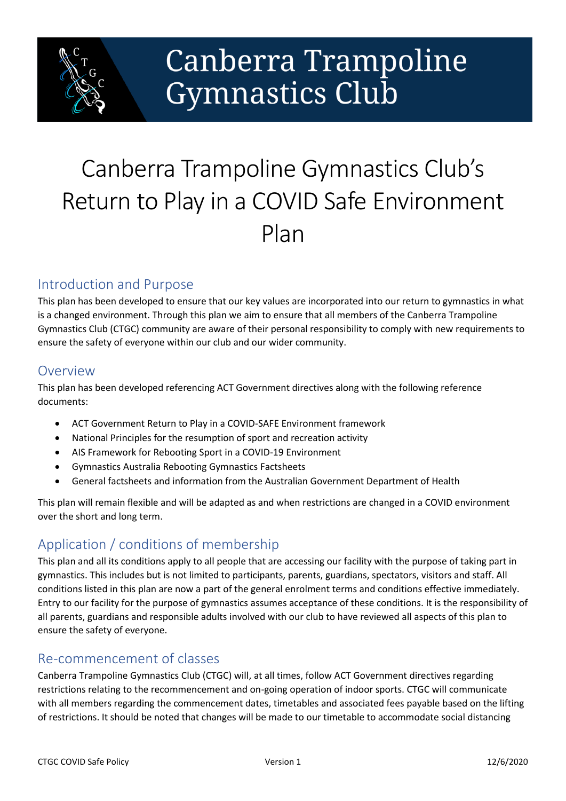

# Canberra Trampoline **Gymnastics Club**

## Canberra Trampoline Gymnastics Club's Return to Play in a COVID Safe Environment Plan

## Introduction and Purpose

This plan has been developed to ensure that our key values are incorporated into our return to gymnastics in what is a changed environment. Through this plan we aim to ensure that all members of the Canberra Trampoline Gymnastics Club (CTGC) community are aware of their personal responsibility to comply with new requirements to ensure the safety of everyone within our club and our wider community.

#### **Overview**

This plan has been developed referencing ACT Government directives along with the following reference documents:

- ACT Government Return to Play in a COVID-SAFE Environment framework
- National Principles for the resumption of sport and recreation activity
- AIS Framework for Rebooting Sport in a COVID-19 Environment
- Gymnastics Australia Rebooting Gymnastics Factsheets
- General factsheets and information from the Australian Government Department of Health

This plan will remain flexible and will be adapted as and when restrictions are changed in a COVID environment over the short and long term.

## Application / conditions of membership

This plan and all its conditions apply to all people that are accessing our facility with the purpose of taking part in gymnastics. This includes but is not limited to participants, parents, guardians, spectators, visitors and staff. All conditions listed in this plan are now a part of the general enrolment terms and conditions effective immediately. Entry to our facility for the purpose of gymnastics assumes acceptance of these conditions. It is the responsibility of all parents, guardians and responsible adults involved with our club to have reviewed all aspects of this plan to ensure the safety of everyone.

### Re-commencement of classes

Canberra Trampoline Gymnastics Club (CTGC) will, at all times, follow ACT Government directives regarding restrictions relating to the recommencement and on-going operation of indoor sports. CTGC will communicate with all members regarding the commencement dates, timetables and associated fees payable based on the lifting of restrictions. It should be noted that changes will be made to our timetable to accommodate social distancing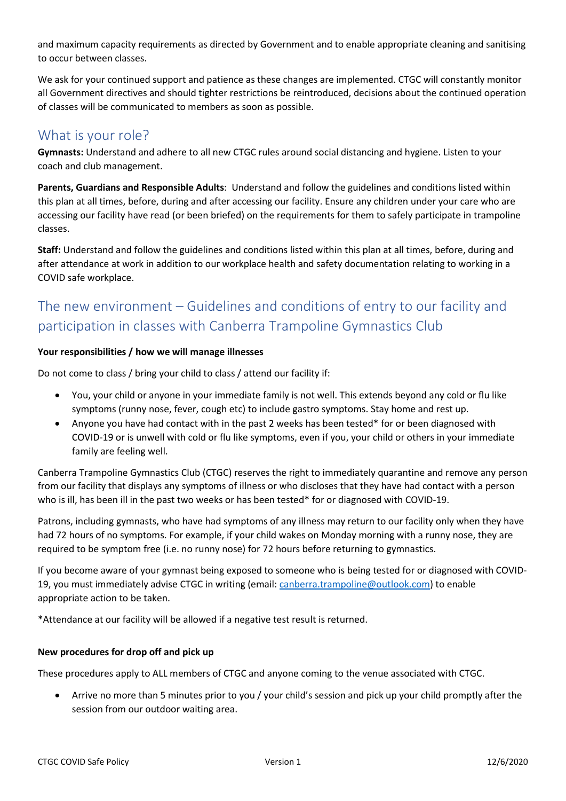and maximum capacity requirements as directed by Government and to enable appropriate cleaning and sanitising to occur between classes.

We ask for your continued support and patience as these changes are implemented. CTGC will constantly monitor all Government directives and should tighter restrictions be reintroduced, decisions about the continued operation of classes will be communicated to members as soon as possible.

## What is your role?

**Gymnasts:** Understand and adhere to all new CTGC rules around social distancing and hygiene. Listen to your coach and club management.

**Parents, Guardians and Responsible Adults**: Understand and follow the guidelines and conditions listed within this plan at all times, before, during and after accessing our facility. Ensure any children under your care who are accessing our facility have read (or been briefed) on the requirements for them to safely participate in trampoline classes.

**Staff:** Understand and follow the guidelines and conditions listed within this plan at all times, before, during and after attendance at work in addition to our workplace health and safety documentation relating to working in a COVID safe workplace.

## The new environment – Guidelines and conditions of entry to our facility and participation in classes with Canberra Trampoline Gymnastics Club

#### **Your responsibilities / how we will manage illnesses**

Do not come to class / bring your child to class / attend our facility if:

- You, your child or anyone in your immediate family is not well. This extends beyond any cold or flu like symptoms (runny nose, fever, cough etc) to include gastro symptoms. Stay home and rest up.
- Anyone you have had contact with in the past 2 weeks has been tested\* for or been diagnosed with COVID-19 or is unwell with cold or flu like symptoms, even if you, your child or others in your immediate family are feeling well.

Canberra Trampoline Gymnastics Club (CTGC) reserves the right to immediately quarantine and remove any person from our facility that displays any symptoms of illness or who discloses that they have had contact with a person who is ill, has been ill in the past two weeks or has been tested\* for or diagnosed with COVID-19.

Patrons, including gymnasts, who have had symptoms of any illness may return to our facility only when they have had 72 hours of no symptoms. For example, if your child wakes on Monday morning with a runny nose, they are required to be symptom free (i.e. no runny nose) for 72 hours before returning to gymnastics.

If you become aware of your gymnast being exposed to someone who is being tested for or diagnosed with COVID19, you must immediately advise CTGC in writing (email: [canberra.trampoline@outlook.com\)](mailto:canberra.trampoline@outlook.com) to enable appropriate action to be taken.

\*Attendance at our facility will be allowed if a negative test result is returned.

#### **New procedures for drop off and pick up**

These procedures apply to ALL members of CTGC and anyone coming to the venue associated with CTGC.

 Arrive no more than 5 minutes prior to you / your child's session and pick up your child promptly after the session from our outdoor waiting area.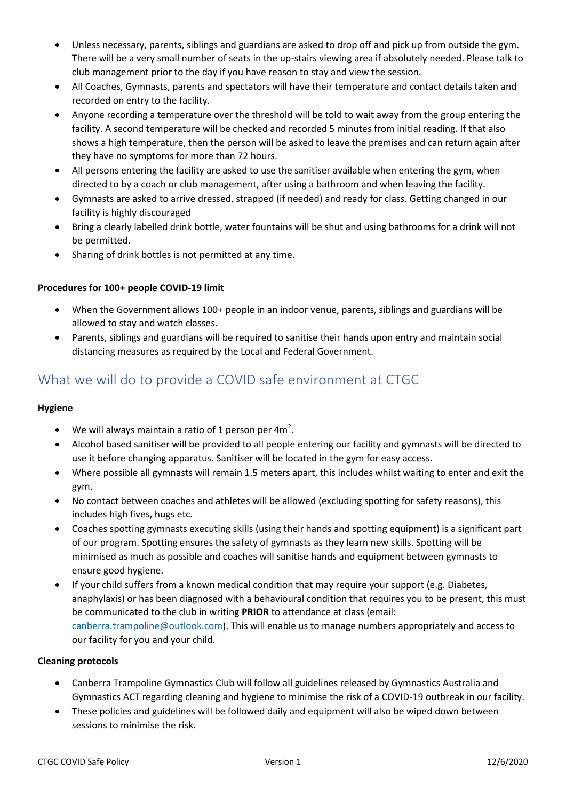- Unless necessary, parents, siblings and guardians are asked to drop off and pick up from outside the gym. There will be a very small number of seats in the up-stairs viewing area if absolutely needed. Please talk to club management prior to the day if you have reason to stay and view the session.
- All Coaches, Gymnasts, parents and spectators will have their temperature and contact details taken and recorded on entry to the facility.
- Anyone recording a temperature over the threshold will be told to wait away from the group entering the facility. A second temperature will be checked and recorded 5 minutes from initial reading. If that also shows a high temperature, then the person will be asked to leave the premises and can return again after they have no symptoms for more than 72 hours.
- All persons entering the facility are asked to use the sanitiser available when entering the gym, when directed to by a coach or club management, after using a bathroom and when leaving the facility.
- Gymnasts are asked to arrive dressed, strapped (if needed) and ready for class. Getting changed in our facility is highly discouraged
- Bring a clearly labelled drink bottle, water fountains will be shut and using bathrooms for a drink will not be permitted.
- Sharing of drink bottles is not permitted at any time.

#### **Procedures for 100+ people COVID-19 limit**

- When the Government allows 100+ people in an indoor venue, parents, siblings and guardians will be allowed to stay and watch classes.
- Parents, siblings and guardians will be required to sanitise their hands upon entry and maintain social distancing measures as required by the Local and Federal Government.

## What we will do to provide a COVID safe environment at CTGC

#### **Hygiene**

- We will always maintain a ratio of 1 person per 4 $m^2$ .
- Alcohol based sanitiser will be provided to all people entering our facility and gymnasts will be directed to use it before changing apparatus. Sanitiser will be located in the gym for easy access.
- Where possible all gymnasts will remain 1.5 meters apart, this includes whilst waiting to enter and exit the gym.
- No contact between coaches and athletes will be allowed (excluding spotting for safety reasons), this includes high fives, hugs etc.
- Coaches spotting gymnasts executing skills (using their hands and spotting equipment) is a significant part of our program. Spotting ensures the safety of gymnasts as they learn new skills. Spotting will be minimised as much as possible and coaches will sanitise hands and equipment between gymnasts to ensure good hygiene.
- If your child suffers from a known medical condition that may require your support (e.g. Diabetes, anaphylaxis) or has been diagnosed with a behavioural condition that requires you to be present, this must be communicated to the club in writing **PRIOR** to attendance at class (email: [canberra.trampoline@outlook.com\)](mailto:canberra.trampoline@outlook.com). This will enable us to manage numbers appropriately and access to our facility for you and your child.

#### **Cleaning protocols**

- Canberra Trampoline Gymnastics Club will follow all guidelines released by Gymnastics Australia and Gymnastics ACT regarding cleaning and hygiene to minimise the risk of a COVID-19 outbreak in our facility.
- These policies and guidelines will be followed daily and equipment will also be wiped down between sessions to minimise the risk.